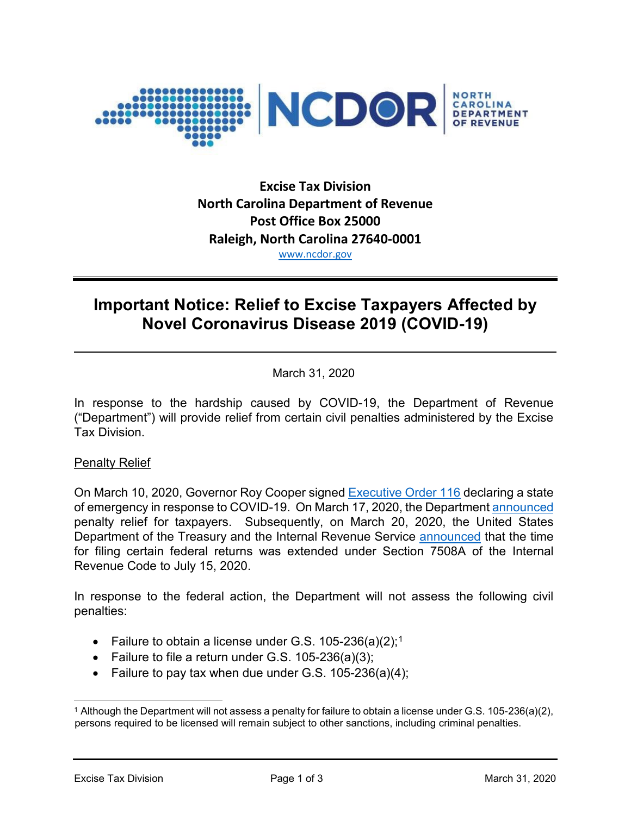

# **Excise Tax Division North Carolina Department of Revenue Post Office Box 25000 Raleigh, North Carolina 27640-0001** [www.ncdor.gov](http://www.ncdor.gov/)

# **Important Notice: Relief to Excise Taxpayers Affected by Novel Coronavirus Disease 2019 (COVID-19)**

March 31, 2020

In response to the hardship caused by COVID-19, the Department of Revenue ("Department") will provide relief from certain civil penalties administered by the Excise Tax Division.

## Penalty Relief

On March 10, 2020, Governor Roy Cooper signed [Executive Order 116](https://files.nc.gov/governor/documents/files/EO116-SOE-COVID-19.pdf) declaring a state of emergency in response to COVID-19. On March 17, 2020, the Department [announced](https://www.ncdor.gov/news/press-releases/2020/03/17/ncdor-offers-penalty-waivers-taxpayers-related-state-emergency) penalty relief for taxpayers. Subsequently, on March 20, 2020, the United States Department of the Treasury and the Internal Revenue Service [announced](https://www.irs.gov/pub/irs-drop/n-20-18.pdf) that the time for filing certain federal returns was extended under Section 7508A of the Internal Revenue Code to July 15, 2020.

In response to the federal action, the Department will not assess the following civil penalties:

- Failure to obtain a license under G.S. [1](#page-0-0)05-236(a)(2);<sup>1</sup>
- Failure to file a return under G.S. 105-236(a)(3);
- Failure to pay tax when due under G.S. 105-236(a)(4);

<span id="page-0-0"></span> <sup>1</sup> Although the Department will not assess a penalty for failure to obtain a license under G.S. 105-236(a)(2), persons required to be licensed will remain subject to other sanctions, including criminal penalties.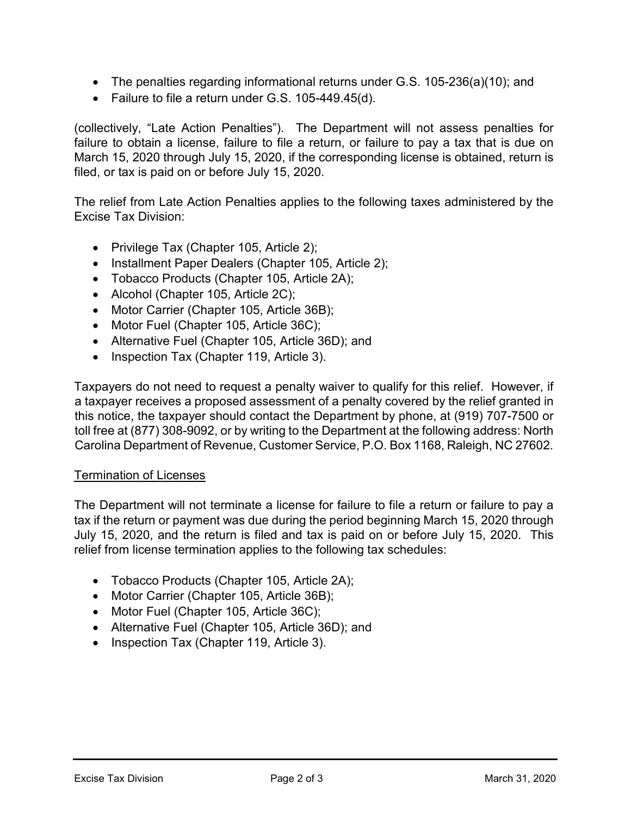- The penalties regarding informational returns under G.S. 105-236(a)(10); and
- Failure to file a return under G.S. 105-449.45(d).

(collectively, "Late Action Penalties"). The Department will not assess penalties for failure to obtain a license, failure to file a return, or failure to pay a tax that is due on March 15, 2020 through July 15, 2020, if the corresponding license is obtained, return is filed, or tax is paid on or before July 15, 2020.

The relief from Late Action Penalties applies to the following taxes administered by the Excise Tax Division:

- Privilege Tax (Chapter 105, Article 2);
- Installment Paper Dealers (Chapter 105, Article 2);
- Tobacco Products (Chapter 105, Article 2A);
- Alcohol (Chapter 105, Article 2C);
- Motor Carrier (Chapter 105, Article 36B);
- Motor Fuel (Chapter 105, Article 36C);
- Alternative Fuel (Chapter 105, Article 36D); and
- Inspection Tax (Chapter 119, Article 3).

Taxpayers do not need to request a penalty waiver to qualify for this relief. However, if a taxpayer receives a proposed assessment of a penalty covered by the relief granted in this notice, the taxpayer should contact the Department by phone, at (919) 707-7500 or toll free at (877) 308-9092, or by writing to the Department at the following address: North Carolina Department of Revenue, Customer Service, P.O. Box 1168, Raleigh, NC 27602.

#### Termination of Licenses

The Department will not terminate a license for failure to file a return or failure to pay a tax if the return or payment was due during the period beginning March 15, 2020 through July 15, 2020, and the return is filed and tax is paid on or before July 15, 2020. This relief from license termination applies to the following tax schedules:

- Tobacco Products (Chapter 105, Article 2A);
- Motor Carrier (Chapter 105, Article 36B);
- Motor Fuel (Chapter 105, Article 36C);
- Alternative Fuel (Chapter 105, Article 36D); and
- Inspection Tax (Chapter 119, Article 3).